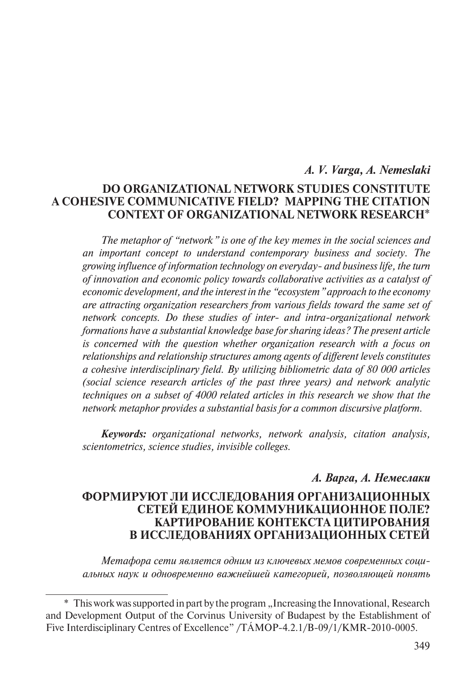### *A. V. Varga, A. Nemeslaki*

# **Do Organizational Network Studies Constitute a Cohesive Communicative Field? Mapping the Citation Context of Organizational Network Research**\*

*The metaphor of "network" is one of the key memes in the social sciences and an important concept to understand contemporary business and society. The growing influence of information technology on everyday- and business life, the turn of innovation and economic policy towards collaborative activities as a catalyst of economic development, and the interest in the "ecosystem" approach to the economy are attracting organization researchers from various fields toward the same set of network concepts. Do these studies of inter- and intra-organizational network formations have a substantial knowledge base for sharing ideas? The present article is concerned with the question whether organization research with a focus on relationships and relationship structures among agents of different levels constitutes a cohesive interdisciplinary field. By utilizing bibliometric data of 80 000 articles (social science research articles of the past three years) and network analytic techniques on a subset of 4000 related articles in this research we show that the network metaphor provides a substantial basis for a common discursive platform.*

*Keywords: organizational networks, network analysis, citation analysis, scientometrics, science studies, invisible colleges.*

### *А. Варга, А. Немеслаки*

## **Формируют ли исследования организационных сетей единое коммуникационное поле? Картирование контекста цитирования в исследованиях организационных сетей**

*Метафора сети является одним из ключевых мемов современных социальных наук и одновременно важнейшей категорией, позволяющей понять* 

<sup>\*</sup> This work was supported in part by the program "Increasing the Innovational, Research and Development Output of the Corvinus University of Budapest by the Establishment of Five Interdisciplinary Centres of Excellence" /TÁMOP-4.2.1/B-09/1/KMR-2010-0005.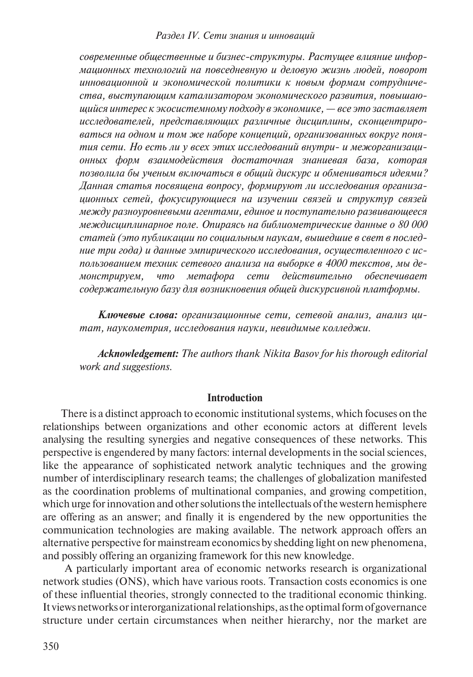*современные общественные и бизнес-структуры. Растущее влияние информационных технологий на повседневную и деловую жизнь людей, поворот инновационной и экономической политики к новым формам сотрудничества, выступающим катализатором экономического развития, повышающийся интерес к экосистемному подходу в экономике, — все это заставляет исследователей, представляющих различные дисциплины, сконцентрироваться на одном и том же наборе концепций, организованных вокруг понятия сети. Но есть ли у всех этих исследований внутри- и межорганизационных форм взаимодействия достаточная знаниевая база, которая позволила бы ученым включаться в общий дискурс и обмениваться идеями? Данная статья посвящена вопросу, формируют ли исследования организационных сетей, фокусирующиеся на изучении связей и структур связей между разноуровневыми агентами, единое и поступательно развивающееся междисциплинарное поле. Опираясь на библиометрические данные о 80 000 статей (это публикации по социальным наукам, вышедшие в свет в последние три года) и данные эмпирического исследования, осуществленного с использованием техник сетевого анализа на выборке в 4000 текстов, мы демонстрируем, что метафора сети действительно обеспечивает содержательную базу для возникновения общей дискурсивной платформы.*

*Ключевые слова: организационные сети, сетевой анализ, анализ цитат, наукометрия, исследования науки, невидимые колледжи.*

*Acknowledgement: The authors thank Nikita Basov for his thorough editorial work and suggestions.*

#### **Introduction**

There is a distinct approach to economic institutional systems, which focuses on the relationships between organizations and other economic actors at different levels analysing the resulting synergies and negative consequences of these networks. This perspective is engendered by many factors: internal developments in the social sciences, like the appearance of sophisticated network analytic techniques and the growing number of interdisciplinary research teams; the challenges of globalization manifested as the coordination problems of multinational companies, and growing competition, which urge for innovation and other solutions the intellectuals of the western hemisphere are offering as an answer; and finally it is engendered by the new opportunities the communication technologies are making available. The network approach offers an alternative perspective for mainstream economics by shedding light on new phenomena, and possibly offering an organizing framework for this new knowledge.

 A particularly important area of economic networks research is organizational network studies (ONS), which have various roots. Transaction costs economics is one of these influential theories, strongly connected to the traditional economic thinking. It views networks or interorganizational relationships, as the optimal form of governance structure under certain circumstances when neither hierarchy, nor the market are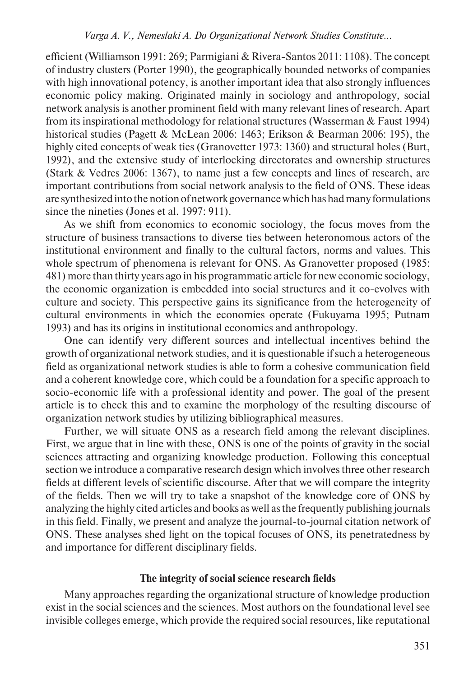#### *Varga A. V., Nemeslaki A. Do Organizational Network Studies Constitute…*

efficient (Williamson 1991: 269; Parmigiani & Rivera-Santos 2011: 1108). The concept of industry clusters (Porter 1990), the geographically bounded networks of companies with high innovational potency, is another important idea that also strongly influences economic policy making. Originated mainly in sociology and anthropology, social network analysis is another prominent field with many relevant lines of research. Apart from its inspirational methodology for relational structures (Wasserman & Faust 1994) historical studies (Pagett & McLean 2006: 1463; Erikson & Bearman 2006: 195), the highly cited concepts of weak ties (Granovetter 1973: 1360) and structural holes (Burt, 1992), and the extensive study of interlocking directorates and ownership structures (Stark & Vedres 2006: 1367), to name just a few concepts and lines of research, are important contributions from social network analysis to the field of ONS. These ideas are synthesized into the notion of network governance which has had many formulations since the nineties (Jones et al. 1997: 911).

As we shift from economics to economic sociology, the focus moves from the structure of business transactions to diverse ties between heteronomous actors of the institutional environment and finally to the cultural factors, norms and values. This whole spectrum of phenomena is relevant for ONS. As Granovetter proposed (1985: 481) more than thirty years ago in his programmatic article for new economic sociology, the economic organization is embedded into social structures and it co-evolves with culture and society. This perspective gains its significance from the heterogeneity of cultural environments in which the economies operate (Fukuyama 1995; Putnam 1993) and has its origins in institutional economics and anthropology.

One can identify very different sources and intellectual incentives behind the growth of organizational network studies, and it is questionable if such a heterogeneous field as organizational network studies is able to form a cohesive communication field and a coherent knowledge core, which could be a foundation for a specific approach to socio-economic life with a professional identity and power. The goal of the present article is to check this and to examine the morphology of the resulting discourse of organization network studies by utilizing bibliographical measures.

Further, we will situate ONS as a research field among the relevant disciplines. First, we argue that in line with these, ONS is one of the points of gravity in the social sciences attracting and organizing knowledge production. Following this conceptual section we introduce a comparative research design which involves three other research fields at different levels of scientific discourse. After that we will compare the integrity of the fields. Then we will try to take a snapshot of the knowledge core of ONS by analyzing the highly cited articles and books as well as the frequently publishing journals in this field. Finally, we present and analyze the journal-to-journal citation network of ONS. These analyses shed light on the topical focuses of ONS, its penetratedness by and importance for different disciplinary fields.

#### **The integrity of social science research fields**

Many approaches regarding the organizational structure of knowledge production exist in the social sciences and the sciences. Most authors on the foundational level see invisible colleges emerge, which provide the required social resources, like reputational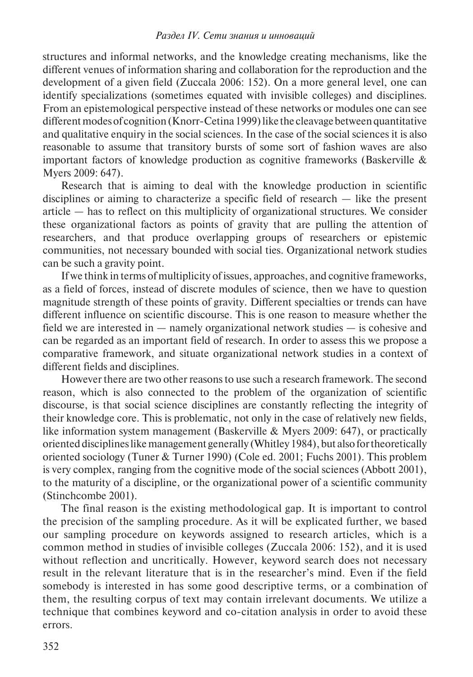structures and informal networks, and the knowledge creating mechanisms, like the different venues of information sharing and collaboration for the reproduction and the development of a given field (Zuccala 2006: 152). On a more general level, one can identify specializations (sometimes equated with invisible colleges) and disciplines. From an epistemological perspective instead of these networks or modules one can see different modes of cognition (Knorr-Cetina 1999) like the cleavage between quantitative and qualitative enquiry in the social sciences. In the case of the social sciences it is also reasonable to assume that transitory bursts of some sort of fashion waves are also important factors of knowledge production as cognitive frameworks (Baskerville & Myers 2009: 647).

Research that is aiming to deal with the knowledge production in scientific disciplines or aiming to characterize a specific field of research — like the present article — has to reflect on this multiplicity of organizational structures. We consider these organizational factors as points of gravity that are pulling the attention of researchers, and that produce overlapping groups of researchers or epistemic communities, not necessary bounded with social ties. Organizational network studies can be such a gravity point.

If we think in terms of multiplicity of issues, approaches, and cognitive frameworks, as a field of forces, instead of discrete modules of science, then we have to question magnitude strength of these points of gravity. Different specialties or trends can have different influence on scientific discourse. This is one reason to measure whether the field we are interested in — namely organizational network studies — is cohesive and can be regarded as an important field of research. In order to assess this we propose a comparative framework, and situate organizational network studies in a context of different fields and disciplines.

However there are two other reasons to use such a research framework. The second reason, which is also connected to the problem of the organization of scientific discourse, is that social science disciplines are constantly reflecting the integrity of their knowledge core. This is problematic, not only in the case of relatively new fields, like information system management (Baskerville & Myers 2009: 647), or practically oriented disciplines like management generally (Whitley 1984), but also for theoretically oriented sociology (Tuner & Turner 1990) (Cole ed. 2001; Fuchs 2001). This problem is very complex, ranging from the cognitive mode of the social sciences (Abbott 2001), to the maturity of a discipline, or the organizational power of a scientific community (Stinchcombe 2001).

The final reason is the existing methodological gap. It is important to control the precision of the sampling procedure. As it will be explicated further, we based our sampling procedure on keywords assigned to research articles, which is a common method in studies of invisible colleges (Zuccala 2006: 152), and it is used without reflection and uncritically. However, keyword search does not necessary result in the relevant literature that is in the researcher's mind. Even if the field somebody is interested in has some good descriptive terms, or a combination of them, the resulting corpus of text may contain irrelevant documents. We utilize a technique that combines keyword and co-citation analysis in order to avoid these errors.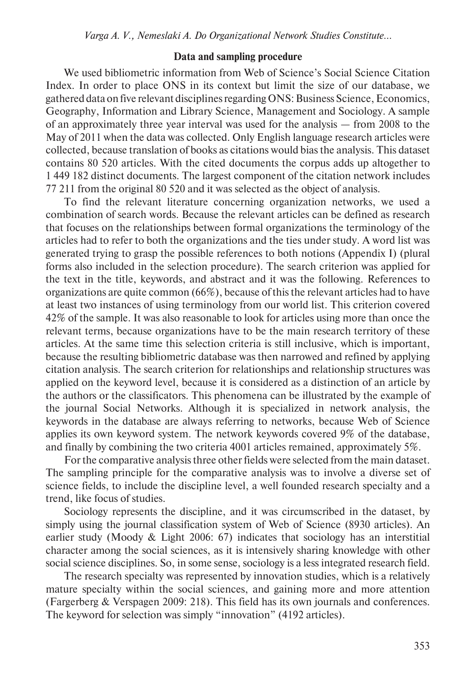#### **Data and sampling procedure**

We used bibliometric information from Web of Science's Social Science Citation Index. In order to place ONS in its context but limit the size of our database, we gathered data on five relevant disciplines regarding ONS: Business Science, Economics, Geography, Information and Library Science, Management and Sociology. A sample of an approximately three year interval was used for the analysis — from 2008 to the May of 2011 when the data was collected. Only English language research articles were collected, because translation of books as citations would bias the analysis. This dataset contains 80 520 articles. With the cited documents the corpus adds up altogether to 1 449 182 distinct documents. The largest component of the citation network includes 77 211 from the original 80 520 and it was selected as the object of analysis.

To find the relevant literature concerning organization networks, we used a combination of search words. Because the relevant articles can be defined as research that focuses on the relationships between formal organizations the terminology of the articles had to refer to both the organizations and the ties under study. A word list was generated trying to grasp the possible references to both notions (Appendix I) (plural forms also included in the selection procedure). The search criterion was applied for the text in the title, keywords, and abstract and it was the following. References to organizations are quite common (66%), because of this the relevant articles had to have at least two instances of using terminology from our world list. This criterion covered 42% of the sample. It was also reasonable to look for articles using more than once the relevant terms, because organizations have to be the main research territory of these articles. At the same time this selection criteria is still inclusive, which is important, because the resulting bibliometric database was then narrowed and refined by applying citation analysis. The search criterion for relationships and relationship structures was applied on the keyword level, because it is considered as a distinction of an article by the authors or the classificators. This phenomena can be illustrated by the example of the journal Social Networks. Although it is specialized in network analysis, the keywords in the database are always referring to networks, because Web of Science applies its own keyword system. The network keywords covered 9% of the database, and finally by combining the two criteria 4001 articles remained, approximately 5%.

For the comparative analysis three other fields were selected from the main dataset. The sampling principle for the comparative analysis was to involve a diverse set of science fields, to include the discipline level, a well founded research specialty and a trend, like focus of studies.

Sociology represents the discipline, and it was circumscribed in the dataset, by simply using the journal classification system of Web of Science (8930 articles). An earlier study (Moody & Light 2006: 67) indicates that sociology has an interstitial character among the social sciences, as it is intensively sharing knowledge with other social science disciplines. So, in some sense, sociology is a less integrated research field.

The research specialty was represented by innovation studies, which is a relatively mature specialty within the social sciences, and gaining more and more attention (Fargerberg & Verspagen 2009: 218). This field has its own journals and conferences. The keyword for selection was simply "innovation" (4192 articles).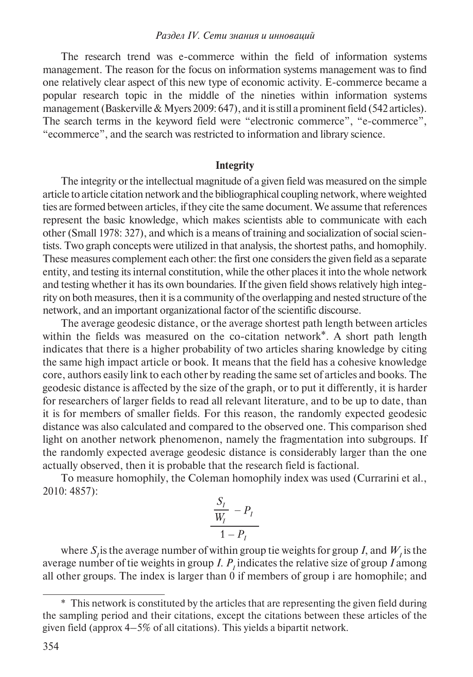The research trend was e-commerce within the field of information systems management. The reason for the focus on information systems management was to find one relatively clear aspect of this new type of economic activity. E-commerce became a popular research topic in the middle of the nineties within information systems management (Baskerville & Myers 2009: 647), and it is still a prominent field (542 articles). The search terms in the keyword field were "electronic commerce", "e-commerce", "ecommerce", and the search was restricted to information and library science.

#### **Integrity**

The integrity or the intellectual magnitude of a given field was measured on the simple article to article citation network and the bibliographical coupling network, where weighted ties are formed between articles, if they cite the same document. We assume that references represent the basic knowledge, which makes scientists able to communicate with each other (Small 1978: 327), and which is a means of training and socialization of social scientists. Two graph concepts were utilized in that analysis, the shortest paths, and homophily. These measures complement each other: the first one considers the given field as a separate entity, and testing its internal constitution, while the other places it into the whole network and testing whether it has its own boundaries. If the given field shows relatively high integrity on both measures, then it is a community of the overlapping and nested structure of the network, and an important organizational factor of the scientific discourse.

The average geodesic distance, or the average shortest path length between articles within the fields was measured on the co-citation network<sup>\*</sup>. A short path length indicates that there is a higher probability of two articles sharing knowledge by citing the same high impact article or book. It means that the field has a cohesive knowledge core, authors easily link to each other by reading the same set of articles and books. The geodesic distance is affected by the size of the graph, or to put it differently, it is harder for researchers of larger fields to read all relevant literature, and to be up to date, than it is for members of smaller fields. For this reason, the randomly expected geodesic distance was also calculated and compared to the observed one. This comparison shed light on another network phenomenon, namely the fragmentation into subgroups. If the randomly expected average geodesic distance is considerably larger than the one actually observed, then it is probable that the research field is factional.

To measure homophily, the Coleman homophily index was used (Currarini et al., 2010: 4857):

$$
\frac{S_I}{W_I} - P_I
$$
  
1-P\_I

where  $S_i$  is the average number of within group tie weights for group *I*, and  $W_i$  is the average number of tie weights in group *I*.  $P<sub>I</sub>$  indicates the relative size of group *I* among all other groups. The index is larger than 0 if members of group i are homophile; and

<sup>\*</sup> This network is constituted by the articles that are representing the given field during the sampling period and their citations, except the citations between these articles of the given field (approx 4–5% of all citations). This yields a bipartit network.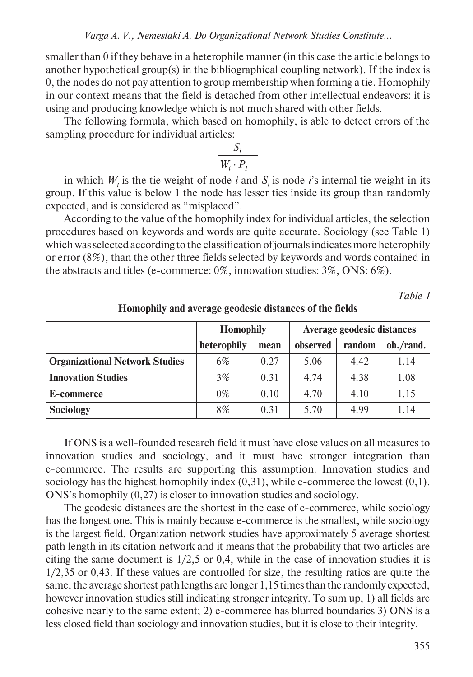smaller than 0 if they behave in a heterophile manner (in this case the article belongs to another hypothetical group(s) in the bibliographical coupling network). If the index is 0, the nodes do not pay attention to group membership when forming a tie. Homophily in our context means that the field is detached from other intellectual endeavors: it is using and producing knowledge which is not much shared with other fields.

The following formula, which based on homophily, is able to detect errors of the sampling procedure for individual articles:

$$
\frac{S_i}{W_i \cdot P_I}
$$

in which  $W_i$  is the tie weight of node *i* and  $S_i$  is node *i*'s internal tie weight in its group. If this value is below 1 the node has lesser ties inside its group than randomly expected, and is considered as "misplaced".

According to the value of the homophily index for individual articles, the selection procedures based on keywords and words are quite accurate. Sociology (see Table 1) which was selected according to the classification of journals indicates more heterophily or error (8%), than the other three fields selected by keywords and words contained in the abstracts and titles (e-commerce: 0%, innovation studies: 3%, ONS: 6%).

*Table 1* 

|                                       | <b>Homophily</b> |      | Average geodesic distances |        |           |
|---------------------------------------|------------------|------|----------------------------|--------|-----------|
|                                       | heterophily      | mean | observed                   | random | ob./rand. |
| <b>Organizational Network Studies</b> | 6%               | 0.27 | 5.06                       | 4.42   | 1.14      |
| <b>Innovation Studies</b>             | 3%               | 0.31 | 4.74                       | 4.38   | 1.08      |
| E-commerce                            | $0\%$            | 0.10 | 4.70                       | 4.10   | 1.15      |
| Sociology                             | 8%               | 0.31 | 5.70                       | 4.99   | 1.14      |

**Homophily and average geodesic distances of the fields**

If ONS is a well-founded research field it must have close values on all measures to innovation studies and sociology, and it must have stronger integration than e-commerce. The results are supporting this assumption. Innovation studies and sociology has the highest homophily index  $(0,31)$ , while e-commerce the lowest  $(0,1)$ . ONS's homophily (0,27) is closer to innovation studies and sociology.

The geodesic distances are the shortest in the case of e-commerce, while sociology has the longest one. This is mainly because e-commerce is the smallest, while sociology is the largest field. Organization network studies have approximately 5 average shortest path length in its citation network and it means that the probability that two articles are citing the same document is  $1/2,5$  or 0,4, while in the case of innovation studies it is 1/2,35 or 0,43. If these values are controlled for size, the resulting ratios are quite the same, the average shortest path lengths are longer 1,15 times than the randomly expected, however innovation studies still indicating stronger integrity. To sum up, 1) all fields are cohesive nearly to the same extent; 2) e-commerce has blurred boundaries 3) ONS is a less closed field than sociology and innovation studies, but it is close to their integrity.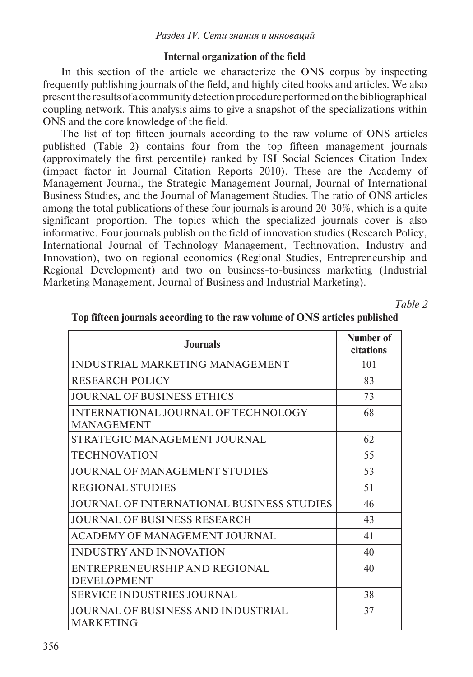#### **Internal organization of the field**

In this section of the article we characterize the ONS corpus by inspecting frequently publishing journals of the field, and highly cited books and articles. We also present the results of a community detection procedure performed on the bibliographical coupling network. This analysis aims to give a snapshot of the specializations within ONS and the core knowledge of the field.

The list of top fifteen journals according to the raw volume of ONS articles published (Table 2) contains four from the top fifteen management journals (approximately the first percentile) ranked by ISI Social Sciences Citation Index (impact factor in Journal Citation Reports 2010). These are the Academy of Management Journal, the Strategic Management Journal, Journal of International Business Studies, and the Journal of Management Studies. The ratio of ONS articles among the total publications of these four journals is around  $20-30\%$ , which is a quite significant proportion. The topics which the specialized journals cover is also informative. Four journals publish on the field of innovation studies (Research Policy, International Journal of Technology Management, Technovation, Industry and Innovation), two on regional economics (Regional Studies, Entrepreneurship and Regional Development) and two on business-to-business marketing (Industrial Marketing Management, Journal of Business and Industrial Marketing).

*Table 2* 

| <b>Journals</b>                                               | Number of<br>citations |
|---------------------------------------------------------------|------------------------|
| <b>INDUSTRIAL MARKETING MANAGEMENT</b>                        | 101                    |
| <b>RESEARCH POLICY</b>                                        | 83                     |
| <b>JOURNAL OF BUSINESS ETHICS</b>                             | 73                     |
| INTERNATIONAL JOURNAL OF TECHNOLOGY<br><b>MANAGEMENT</b>      | 68                     |
| STRATEGIC MANAGEMENT JOURNAL                                  | 62                     |
| <b>TECHNOVATION</b>                                           | 55                     |
| JOURNAL OF MANAGEMENT STUDIES                                 | 53                     |
| <b>REGIONAL STUDIES</b>                                       | 51                     |
| JOURNAL OF INTERNATIONAL BUSINESS STUDIES                     | 46                     |
| <b>JOURNAL OF BUSINESS RESEARCH</b>                           | 43                     |
| ACADEMY OF MANAGEMENT JOURNAL                                 | 41                     |
| <b>INDUSTRY AND INNOVATION</b>                                | 40                     |
| ENTREPRENEURSHIP AND REGIONAL<br><b>DEVELOPMENT</b>           | 40                     |
| <b>SERVICE INDUSTRIES JOURNAL</b>                             | 38                     |
| <b>JOURNAL OF BUSINESS AND INDUSTRIAL</b><br><b>MARKETING</b> | 37                     |

#### **Top fifteen journals according to the raw volume of ONS articles published**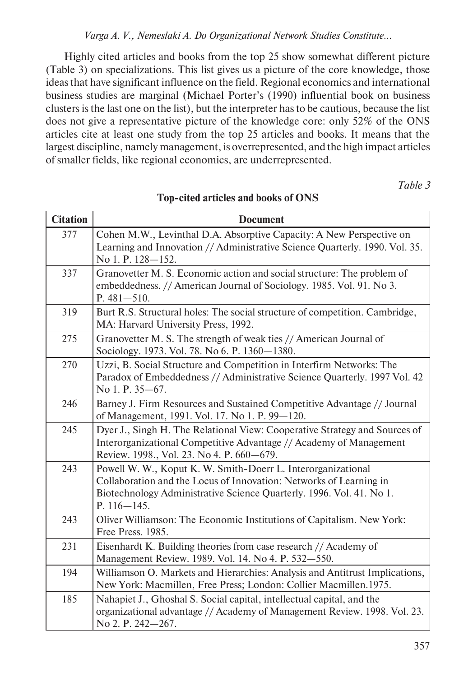### *Varga A. V., Nemeslaki A. Do Organizational Network Studies Constitute…*

Highly cited articles and books from the top 25 show somewhat different picture (Table 3) on specializations. This list gives us a picture of the core knowledge, those ideas that have significant influence on the field. Regional economics and international business studies are marginal (Michael Porter's (1990) influential book on business clusters is the last one on the list), but the interpreter has to be cautious, because the list does not give a representative picture of the knowledge core: only 52% of the ONS articles cite at least one study from the top 25 articles and books. It means that the largest discipline, namely management, is overrepresented, and the high impact articles of smaller fields, like regional economics, are underrepresented.

*Table 3* 

| <b>Citation</b> | <b>Document</b>                                                                                                                                                                                                               |
|-----------------|-------------------------------------------------------------------------------------------------------------------------------------------------------------------------------------------------------------------------------|
| 377             | Cohen M.W., Levinthal D.A. Absorptive Capacity: A New Perspective on<br>Learning and Innovation // Administrative Science Quarterly. 1990. Vol. 35.<br>No 1. P. 128-152.                                                      |
| 337             | Granovetter M. S. Economic action and social structure: The problem of<br>embeddedness. // American Journal of Sociology. 1985. Vol. 91. No 3.<br>$P.481 - 510.$                                                              |
| 319             | Burt R.S. Structural holes: The social structure of competition. Cambridge,<br>MA: Harvard University Press, 1992.                                                                                                            |
| 275             | Granovetter M. S. The strength of weak ties // American Journal of<br>Sociology. 1973. Vol. 78. No 6. P. 1360-1380.                                                                                                           |
| 270             | Uzzi, B. Social Structure and Competition in Interfirm Networks: The<br>Paradox of Embeddedness // Administrative Science Quarterly. 1997 Vol. 42<br>No 1. P. 35–67.                                                          |
| 246             | Barney J. Firm Resources and Sustained Competitive Advantage // Journal<br>of Management, 1991. Vol. 17. No 1. P. 99-120.                                                                                                     |
| 245             | Dyer J., Singh H. The Relational View: Cooperative Strategy and Sources of<br>Interorganizational Competitive Advantage // Academy of Management<br>Review. 1998., Vol. 23. No 4. P. 660-679.                                 |
| 243             | Powell W. W., Koput K. W. Smith-Doerr L. Interorganizational<br>Collaboration and the Locus of Innovation: Networks of Learning in<br>Biotechnology Administrative Science Quarterly. 1996. Vol. 41. No 1.<br>$P. 116 - 145.$ |
| 243             | Oliver Williamson: The Economic Institutions of Capitalism. New York:<br>Free Press. 1985.                                                                                                                                    |
| 231             | Eisenhardt K. Building theories from case research // Academy of<br>Management Review. 1989. Vol. 14. No 4. P. 532-550.                                                                                                       |
| 194             | Williamson O. Markets and Hierarchies: Analysis and Antitrust Implications,<br>New York: Macmillen, Free Press; London: Collier Macmillen.1975.                                                                               |
| 185             | Nahapiet J., Ghoshal S. Social capital, intellectual capital, and the<br>organizational advantage // Academy of Management Review. 1998. Vol. 23.<br>No 2. P. 242-267.                                                        |

### **Top-cited articles and books of ONS**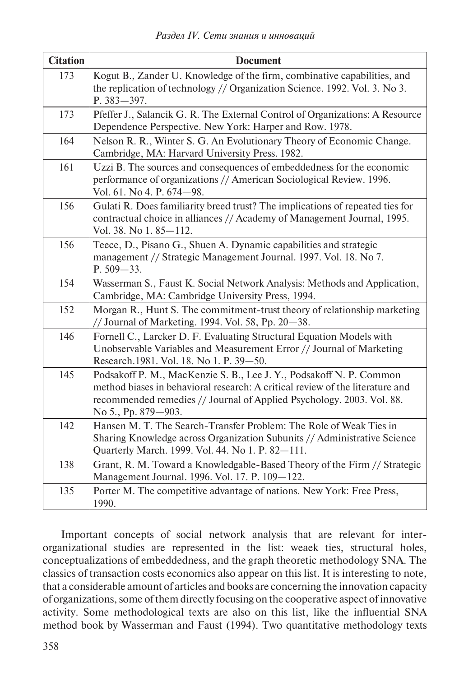| <b>Citation</b> | <b>Document</b>                                                                                                                                                                                                                                      |
|-----------------|------------------------------------------------------------------------------------------------------------------------------------------------------------------------------------------------------------------------------------------------------|
| 173             | Kogut B., Zander U. Knowledge of the firm, combinative capabilities, and<br>the replication of technology // Organization Science. 1992. Vol. 3. No 3.<br>P. 383-397.                                                                                |
| 173             | Pfeffer J., Salancik G. R. The External Control of Organizations: A Resource<br>Dependence Perspective. New York: Harper and Row. 1978.                                                                                                              |
| 164             | Nelson R. R., Winter S. G. An Evolutionary Theory of Economic Change.<br>Cambridge, MA: Harvard University Press. 1982.                                                                                                                              |
| 161             | Uzzi B. The sources and consequences of embeddedness for the economic<br>performance of organizations // American Sociological Review. 1996.<br>Vol. 61. No 4. P. 674-98.                                                                            |
| 156             | Gulati R. Does familiarity breed trust? The implications of repeated ties for<br>contractual choice in alliances // Academy of Management Journal, 1995.<br>Vol. 38. No 1.85-112.                                                                    |
| 156             | Teece, D., Pisano G., Shuen A. Dynamic capabilities and strategic<br>management // Strategic Management Journal. 1997. Vol. 18. No 7.<br>P. 509-33.                                                                                                  |
| 154             | Wasserman S., Faust K. Social Network Analysis: Methods and Application,<br>Cambridge, MA: Cambridge University Press, 1994.                                                                                                                         |
| 152             | Morgan R., Hunt S. The commitment-trust theory of relationship marketing<br>// Journal of Marketing. 1994. Vol. 58, Pp. 20-38.                                                                                                                       |
| 146             | Fornell C., Larcker D. F. Evaluating Structural Equation Models with<br>Unobservable Variables and Measurement Error // Journal of Marketing<br>Research.1981. Vol. 18. No 1. P. 39-50.                                                              |
| 145             | Podsakoff P. M., MacKenzie S. B., Lee J. Y., Podsakoff N. P. Common<br>method biases in behavioral research: A critical review of the literature and<br>recommended remedies // Journal of Applied Psychology. 2003. Vol. 88.<br>No 5., Pp. 879–903. |
| 142             | Hansen M. T. The Search-Transfer Problem: The Role of Weak Ties in<br>Sharing Knowledge across Organization Subunits // Administrative Science<br>Quarterly March. 1999. Vol. 44. No 1. P. 82-111.                                                   |
| 138             | Grant, R. M. Toward a Knowledgable-Based Theory of the Firm // Strategic<br>Management Journal. 1996. Vol. 17. P. 109-122.                                                                                                                           |
| 135             | Porter M. The competitive advantage of nations. New York: Free Press,<br>1990.                                                                                                                                                                       |

Important concepts of social network analysis that are relevant for interorganizational studies are represented in the list: weaek ties, structural holes, conceptualizations of embeddedness, and the graph theoretic methodology SNA. The classics of transaction costs economics also appear on this list. It is interesting to note, that a considerable amount of articles and books are concerning the innovation capacity of organizations, some of them directly focusing on the cooperative aspect of innovative activity. Some methodological texts are also on this list, like the influential SNA method book by Wasserman and Faust (1994). Two quantitative methodology texts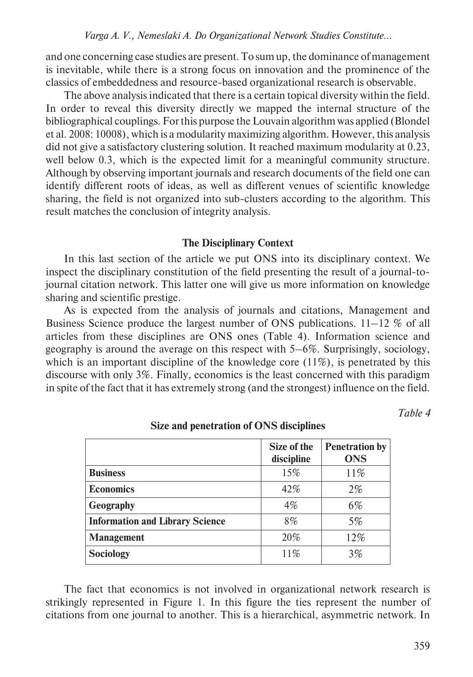and one concerning case studies are present. To sum up, the dominance of management is inevitable, while there is a strong focus on innovation and the prominence of the classics of embeddedness and resource-based organizational research is observable.

The above analysis indicated that there is a certain topical diversity within the field. In order to reveal this diversity directly we mapped the internal structure of the bibliographical couplings. For this purpose the Louvain algorithm was applied (Blondel et al. 2008: 10008), which is a modularity maximizing algorithm. However, this analysis did not give a satisfactory clustering solution. It reached maximum modularity at 0.23, well below 0.3, which is the expected limit for a meaningful community structure. Although by observing important journals and research documents of the field one can identify different roots of ideas, as well as different venues of scientific knowledge sharing, the field is not organized into sub-clusters according to the algorithm. This result matches the conclusion of integrity analysis.

#### **The Disciplinary Context**

In this last section of the article we put ONS into its disciplinary context. We inspect the disciplinary constitution of the field presenting the result of a journal-tojournal citation network. This latter one will give us more information on knowledge sharing and scientific prestige.

As is expected from the analysis of journals and citations, Management and Business Science produce the largest number of ONS publications.  $11-12\%$  of all articles from these disciplines are ONS ones (Table 4). Information science and geography is around the average on this respect with 5–6%. Surprisingly, sociology, which is an important discipline of the knowledge core  $(11\%)$ , is penetrated by this discourse with only 3%. Finally, economics is the least concerned with this paradigm in spite of the fact that it has extremely strong (and the strongest) influence on the field.

*Table 4* 

|                                        | Size of the<br>discipline | <b>Penetration by</b><br><b>ONS</b> |
|----------------------------------------|---------------------------|-------------------------------------|
| <b>Business</b>                        | 15%                       | 11%                                 |
| <b>Economics</b>                       | 42%                       | 2%                                  |
| Geography                              | 4%                        | 6%                                  |
| <b>Information and Library Science</b> | 8%                        | 5%                                  |
| <b>Management</b>                      | 20%                       | 12%                                 |
| Sociology                              | 11%                       | 3%                                  |

**Size and penetration of ONS disciplines**

The fact that economics is not involved in organizational network research is strikingly represented in Figure 1. In this figure the ties represent the number of citations from one journal to another. This is a hierarchical, asymmetric network. In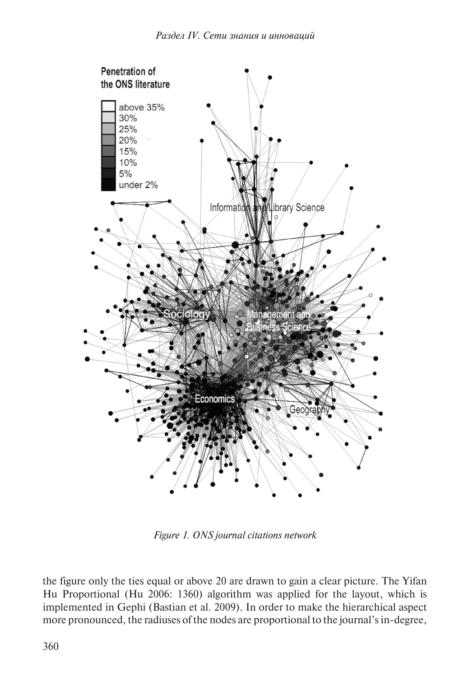

*Figure 1. ONS journal citations network*

the figure only the ties equal or above 20 are drawn to gain a clear picture. The Yifan Hu Proportional (Hu 2006: 1360) algorithm was applied for the layout, which is implemented in Gephi (Bastian et al. 2009). In order to make the hierarchical aspect more pronounced, the radiuses of the nodes are proportional to the journal's in-degree,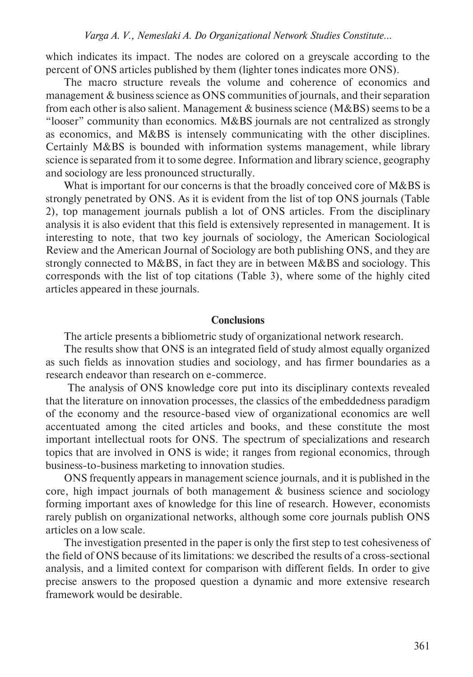which indicates its impact. The nodes are colored on a greyscale according to the percent of ONS articles published by them (lighter tones indicates more ONS).

The macro structure reveals the volume and coherence of economics and management & business science as ONS communities of journals, and their separation from each other is also salient. Management  $\&$  business science (M $\&$ BS) seems to be a "looser" community than economics. M&BS journals are not centralized as strongly as economics, and M&BS is intensely communicating with the other disciplines. Certainly M&BS is bounded with information systems management, while library science is separated from it to some degree. Information and library science, geography and sociology are less pronounced structurally.

What is important for our concerns is that the broadly conceived core of M&BS is strongly penetrated by ONS. As it is evident from the list of top ONS journals (Table 2), top management journals publish a lot of ONS articles. From the disciplinary analysis it is also evident that this field is extensively represented in management. It is interesting to note, that two key journals of sociology, the American Sociological Review and the American Journal of Sociology are both publishing ONS, and they are strongly connected to M&BS, in fact they are in between M&BS and sociology. This corresponds with the list of top citations (Table 3), where some of the highly cited articles appeared in these journals.

#### **Conclusions**

The article presents a bibliometric study of organizational network research.

The results show that ONS is an integrated field of study almost equally organized as such fields as innovation studies and sociology, and has firmer boundaries as a research endeavor than research on e-commerce.

 The analysis of ONS knowledge core put into its disciplinary contexts revealed that the literature on innovation processes, the classics of the embeddedness paradigm of the economy and the resource-based view of organizational economics are well accentuated among the cited articles and books, and these constitute the most important intellectual roots for ONS. The spectrum of specializations and research topics that are involved in ONS is wide; it ranges from regional economics, through business-to-business marketing to innovation studies.

ONS frequently appears in management science journals, and it is published in the core, high impact journals of both management & business science and sociology forming important axes of knowledge for this line of research. However, economists rarely publish on organizational networks, although some core journals publish ONS articles on a low scale.

The investigation presented in the paper is only the first step to test cohesiveness of the field of ONS because of its limitations: we described the results of a cross-sectional analysis, and a limited context for comparison with different fields. In order to give precise answers to the proposed question a dynamic and more extensive research framework would be desirable.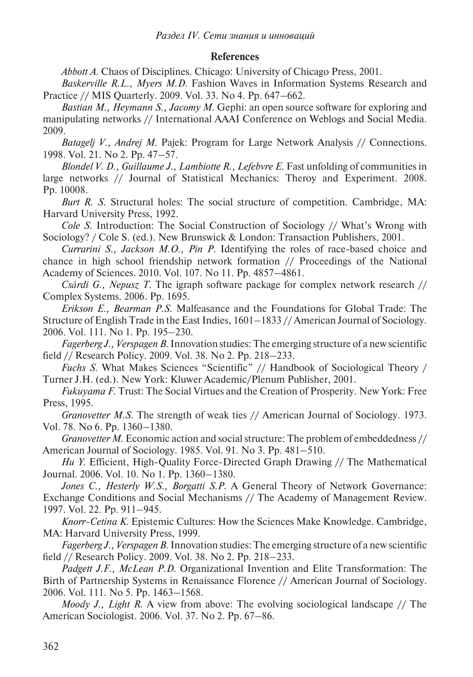#### **References**

*Abbott A*. Chaos of Disciplines. Chicago: University of Chicago Press, 2001.

*Baskerville R.L., Myers M.D*. Fashion Waves in Information Systems Research and Practice // MIS Quarterly. 2009. Vol. 33. No 4. Pp. 647–662.

*Bastian M., Heymann S., Jacomy M*. Gephi: an open source software for exploring and manipulating networks // International AAAI Conference on Weblogs and Social Media. 2009.

*Batagelj V., Andrej M*. Pajek: Program for Large Network Analysis // Connections. 1998. Vol. 21. No 2. Pp. 47–57.

*Blondel V. D., Guillaume J., Lambiotte R., Lefebvre E*. Fast unfolding of communities in large networks // Journal of Statistical Mechanics: Theroy and Experiment. 2008. Pp. 10008.

*Burt R. S*. Structural holes: The social structure of competition. Cambridge, MA: Harvard University Press, 1992.

*Cole S*. Introduction: The Social Construction of Sociology // What's Wrong with Sociology? / Cole S. (ed.). New Brunswick & London: Transaction Publishers, 2001.

*Currarini S., Jackson M.O., Pin P*. Identifying the roles of race-based choice and chance in high school friendship network formation // Proceedings of the National Academy of Sciences. 2010. Vol. 107. No 11. Pp. 4857–4861.

*Csárdi G., Nepusz T*. The igraph software package for complex network research // Complex Systems. 2006. Pp. 1695.

*Erikson E., Bearman P.S*. Malfeasance and the Foundations for Global Trade: The Structure of English Trade in the East Indies, 1601–1833 // American Journal of Sociology. 2006. Vol. 111. No 1. Pp. 195–230.

*Fagerberg J., Verspagen B*. Innovation studies: The emerging structure of a new scientific field // Research Policy. 2009. Vol. 38. No 2. Pp. 218–233.

*Fuchs S*. What Makes Sciences "Scientific" // Handbook of Sociological Theory / Turner J.H. (ed.). New York: Kluwer Academic/Plenum Publisher, 2001.

*Fukuyama F*. Trust: The Social Virtues and the Creation of Prosperity. New York: Free Press, 1995.

*Granovetter M.S*. The strength of weak ties // American Journal of Sociology. 1973. Vol. 78. No 6. Pp. 1360–1380.

*Granovetter M*. Economic action and social structure: The problem of embeddedness // American Journal of Sociology. 1985. Vol. 91. No 3. Pp. 481–510.

*Hu Y*. Efficient, High-Quality Force-Directed Graph Drawing // The Mathematical Journal. 2006. Vol. 10. No 1. Pp. 1360–1380.

*Jones C., Hesterly W.S., Borgatti S.P*. A General Theory of Network Governance: Exchange Conditions and Social Mechanisms // The Academy of Management Review. 1997. Vol. 22. Pp. 911–945.

*Knorr-Cetina K*. Epistemic Cultures: How the Sciences Make Knowledge. Cambridge, MA: Harvard University Press, 1999.

*Fagerberg J., Verspagen B*. Innovation studies: The emerging structure of a new scientific field // Research Policy. 2009. Vol. 38. No 2. Pp. 218–233.

*Padgett J.F., McLean P.D*. Organizational Invention and Elite Transformation: The Birth of Partnership Systems in Renaissance Florence // American Journal of Sociology. 2006. Vol. 111. No 5. Pp. 1463–1568.

*Moody J., Light R*. A view from above: The evolving sociological landscape // The American Sociologist. 2006. Vol. 37. No 2. Pp. 67–86.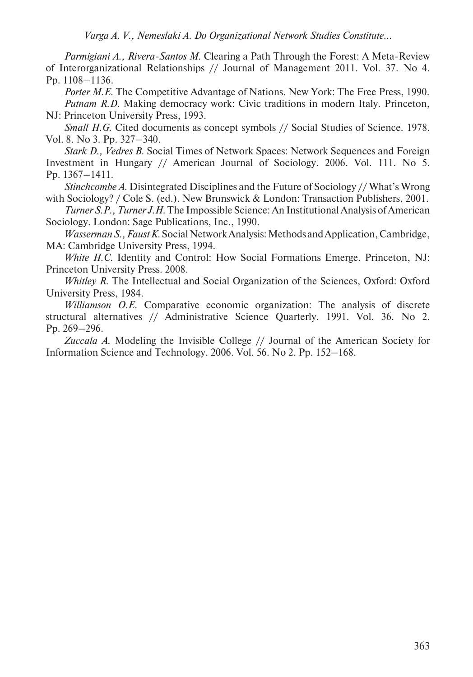*Parmigiani A., Rivera-Santos M*. Clearing a Path Through the Forest: A Meta-Review of Interorganizational Relationships // Journal of Management 2011. Vol. 37. No 4. Pp. 1108–1136.

*Porter M.E*. The Competitive Advantage of Nations. New York: The Free Press, 1990. *Putnam R.D.* Making democracy work: Civic traditions in modern Italy. Princeton, NJ: Princeton University Press, 1993.

*Small H.G.* Cited documents as concept symbols // Social Studies of Science. 1978. Vol. 8. No 3. Pp. 327–340.

*Stark D., Vedres B*. Social Times of Network Spaces: Network Sequences and Foreign Investment in Hungary // American Journal of Sociology. 2006. Vol. 111. No 5. Pp. 1367–1411.

*Stinchcombe A*. Disintegrated Disciplines and the Future of Sociology // What's Wrong with Sociology? / Cole S. (ed.). New Brunswick & London: Transaction Publishers, 2001.

*Turner S.P., Turner J.H*. The Impossible Science: An Institutional Analysis of American Sociology. London: Sage Publications, Inc., 1990.

*Wasserman S., Faust K*. Social Network Analysis: Methods and Application, Cambridge, MA: Cambridge University Press, 1994.

*White H.C*. Identity and Control: How Social Formations Emerge. Princeton, NJ: Princeton University Press. 2008.

*Whitley R*. The Intellectual and Social Organization of the Sciences, Oxford: Oxford University Press, 1984.

*Williamson O.E*. Comparative economic organization: The analysis of discrete structural alternatives // Administrative Science Quarterly. 1991. Vol. 36. No 2. Pp. 269–296.

*Zuccala A*. Modeling the Invisible College // Journal of the American Society for Information Science and Technology. 2006. Vol. 56. No 2. Pp. 152–168.